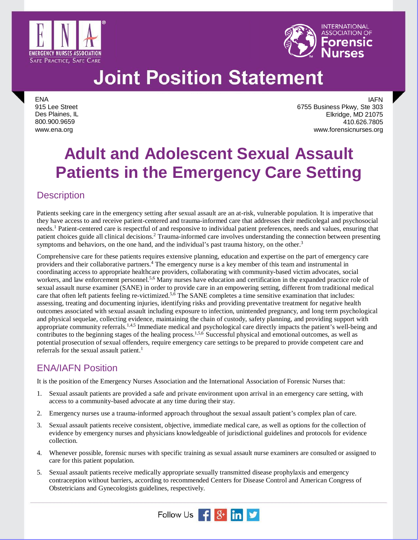



ENA 915 Lee Street Des Plaines, IL 800.900.9659 www.ena.org

IAFN 6755 Business Pkwy, Ste 303 Elkridge, MD 21075 410.626.7805 www.forensicnurses.org

### **Adult and Adolescent Sexual Assault Patients in the Emergency Care Setting**

### **Description**

Patients seeking care in the emergency setting after sexual assault are an at-risk, vulnerable population. It is imperative that they have access to and receive patient-centered and trauma-informed care that addresses their medicolegal and psychosocial needs. <sup>1</sup> Patient-centered care is respectful of and responsive to individual patient preferences, needs and values, ensuring that patient choices guide all clinical decisions.<sup>2</sup> Trauma-informed care involves understanding the connection between presenting symptoms and behaviors, on the one hand, and the individual's past trauma history, on the other.<sup>3</sup>

Comprehensive care for these patients requires extensive planning, education and expertise on the part of emergency care providers and their collaborative partners. <sup>4</sup> The emergency nurse is a key member of this team and instrumental in coordinating access to appropriate healthcare providers, collaborating with community-based victim advocates, social workers, and law enforcement personnel. 5,6 Many nurses have education and certification in the expanded practice role of sexual assault nurse examiner (SANE) in order to provide care in an empowering setting, different from traditional medical care that often left patients feeling re-victimized.<sup>5,6</sup> The SANE completes a time sensitive examination that includes: assessing, treating and documenting injuries, identifying risks and providing preventative treatment for negative health outcomes associated with sexual assault including exposure to infection, unintended pregnancy, and long term psychological and physical sequelae, collecting evidence, maintaining the chain of custody, safety planning, and providing support with appropriate community referrals.<sup>1,4,5</sup> Immediate medical and psychological care directly impacts the patient's well-being and contributes to the beginning stages of the healing process.<sup>1,5,6</sup> Successful physical and emotional outcomes, as well as potential prosecution of sexual offenders, require emergency care settings to be prepared to provide competent care and referrals for the sexual assault patient.<sup>1</sup>

### ENA/IAFN Position

It is the position of the Emergency Nurses Association and the International Association of Forensic Nurses that:

- 1. Sexual assault patients are provided a safe and private environment upon arrival in an emergency care setting, with access to a community-based advocate at any time during their stay.
- 2. Emergency nurses use a trauma-informed approach throughout the sexual assault patient's complex plan of care.
- 3. Sexual assault patients receive consistent, objective, immediate medical care, as well as options for the collection of evidence by emergency nurses and physicians knowledgeable of jurisdictional guidelines and protocols for evidence collection.
- 4. Whenever possible, forensic nurses with specific training as sexual assault nurse examiners are consulted or assigned to care for this patient population.
- 5. Sexual assault patients receive medically appropriate sexually transmitted disease prophylaxis and emergency contraception without barriers, according to recommended Centers for Disease Control and American Congress of Obstetricians and Gynecologists guidelines, respectively.

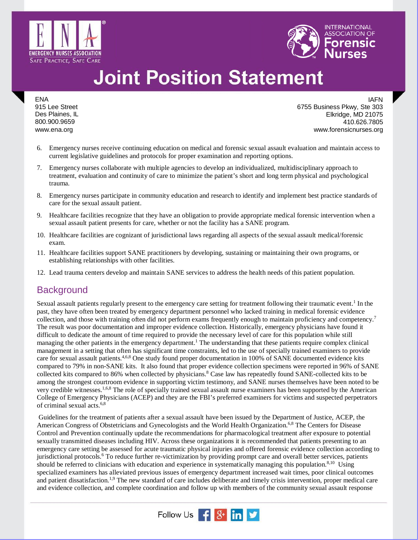



ENA 915 Lee Street Des Plaines, IL 800.900.9659 www.ena.org

IAFN 6755 Business Pkwy, Ste 303 Elkridge, MD 21075 410.626.7805 www.forensicnurses.org

- 6. Emergency nurses receive continuing education on medical and forensic sexual assault evaluation and maintain access to current legislative guidelines and protocols for proper examination and reporting options.
- 7. Emergency nurses collaborate with multiple agencies to develop an individualized, multidisciplinary approach to treatment, evaluation and continuity of care to minimize the patient's short and long term physical and psychological trauma.
- 8. Emergency nurses participate in community education and research to identify and implement best practice standards of care for the sexual assault patient.
- 9. Healthcare facilities recognize that they have an obligation to provide appropriate medical forensic intervention when a sexual assault patient presents for care, whether or not the facility has a SANE program.
- 10. Healthcare facilities are cognizant of jurisdictional laws regarding all aspects of the sexual assault medical/forensic exam.
- 11. Healthcare facilities support SANE practitioners by developing, sustaining or maintaining their own programs, or establishing relationships with other facilities.
- 12. Lead trauma centers develop and maintain SANE services to address the health needs of this patient population.

### **Background**

Sexual assault patients regularly present to the emergency care setting for treatment following their traumatic event.1 In the past, they have often been treated by emergency department personnel who lacked training in medical forensic evidence collection, and those with training often did not perform exams frequently enough to maintain proficiency and competency.7 The result was poor documentation and improper evidence collection. Historically, emergency physicians have found it difficult to dedicate the amount of time required to provide the necessary level of care for this population while still managing the other patients in the emergency department.<sup>1</sup> The understanding that these patients require complex clinical management in a setting that often has significant time constraints, led to the use of specially trained examiners to provide care for sexual assault patients.<sup>4,6,8</sup> One study found proper documentation in 100% of SANE documented evidence kits compared to 79% in non-SANE kits. It also found that proper evidence collection specimens were reported in 96% of SANE collected kits compared to 86% when collected by physicians.<sup>8</sup> Case law has repeatedly found SANE-collected kits to be among the strongest courtroom evidence in supporting victim testimony, and SANE nurses themselves have been noted to be very credible witnesses.<sup>1,6,8</sup> The role of specially trained sexual assault nurse examiners has been supported by the American College of Emergency Physicians (ACEP) and they are the FBI's preferred examiners for victims and suspected perpetrators of criminal sexual acts.6,8

Guidelines for the treatment of patients after a sexual assault have been issued by the Department of Justice, ACEP, the American Congress of Obstetricians and Gynecologists and the World Health Organization.<sup>6,8</sup> The Centers for Disease Control and Prevention continually update the recommendations for pharmacological treatment after exposure to potential sexually transmitted diseases including HIV. Across these organizations it is recommended that patients presenting to an emergency care setting be assessed for acute traumatic physical injuries and offered forensic evidence collection according to jurisdictional protocols.<sup>6</sup> To reduce further re-victimization by providing prompt care and overall better services, patients should be referred to clinicians with education and experience in systematically managing this population.<sup>8,10</sup> Using specialized examiners has alleviated previous issues of emergency department increased wait times, poor clinical outcomes and patient dissatisfaction.<sup>1,9</sup> The new standard of care includes deliberate and timely crisis intervention, proper medical care and evidence collection, and complete coordination and follow up with members of the community sexual assault response

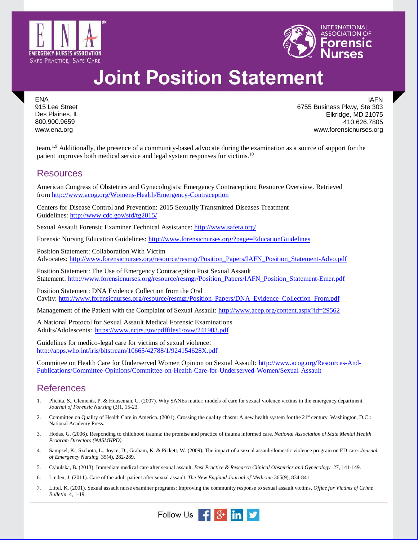



ENA 915 Lee Street Des Plaines, IL 800.900.9659 www.ena.org

IAFN 6755 Business Pkwy, Ste 303 Elkridge, MD 21075 410.626.7805 www.forensicnurses.org

team.<sup>1,9</sup> Additionally, the presence of a community-based advocate during the examination as a source of support for the patient improves both medical service and legal system responses for victims.<sup>10</sup>

#### Resources

American Congress of Obstetrics and Gynecologists: Emergency Contraception: Resource Overview. Retrieved from<http://www.acog.org/Womens-Health/Emergency-Contraception>

Centers for Disease Control and Prevention: [2015 Sexually Transmitted Diseases Treatment](http://www.cdc.gov/std/tg2015/default.htm)  [Guidelines:](http://www.cdc.gov/std/tg2015/default.htm)<http://www.cdc.gov/std/tg2015/>

Sexual Assault Forensic Examiner Technical Assistance: <http://www.safeta.org/>

Forensic Nursing Education Guidelines: <http://www.forensicnurses.org/?page=EducationGuidelines>

Position Statement: Collaboration With Victim Advocates: [http://www.forensicnurses.org/resource/resmgr/Position\\_Papers/IAFN\\_Position\\_Statement-Advo.pdf](http://www.forensicnurses.org/resource/resmgr/Position_Papers/IAFN_Position_Statement-Advo.pdf)

Position Statement: The Use of Emergency Contraception Post Sexual Assault Statement: [http://www.forensicnurses.org/resource/resmgr/Position\\_Papers/IAFN\\_Position\\_Statement-Emer.pdf](http://www.forensicnurses.org/resource/resmgr/Position_Papers/IAFN_Position_Statement-Emer.pdf)

Position Statement: DNA Evidence Collection from the Oral Cavity: [http://www.forensicnurses.org/resource/resmgr/Position\\_Papers/DNA\\_Evidence\\_Collection\\_From.pdf](http://www.forensicnurses.org/resource/resmgr/Position_Papers/DNA_Evidence_Collection_From.pdf)

Management of the Patient with the Complaint of Sexual Assault: <http://www.acep.org/content.aspx?id=29562>

A National Protocol for Sexual Assault Medical Forensic Examinations Adults/Adolescents: <https://www.ncjrs.gov/pdffiles1/ovw/241903.pdf>

Guidelines for medico-legal care for victims of sexual violence: <http://apps.who.int/iris/bitstream/10665/42788/1/924154628X.pdf>

Committee on Health Care for Underserved Women Opinion on Sexual Assault: [http://www.acog.org/Resources-And-](http://www.acog.org/Resources-And-Publications/Committee-Opinions/Committee-on-Health-Care-for-Underserved-Women/Sexual-Assault)[Publications/Committee-Opinions/Committee-on-Health-Care-for-Underserved-Women/Sexual-Assault](http://www.acog.org/Resources-And-Publications/Committee-Opinions/Committee-on-Health-Care-for-Underserved-Women/Sexual-Assault)

### **References**

- 1. Plichta, S., Clements, P. & Houseman, C. (2007). Why SANEs matter: models of care for sexual violence victims in the emergency department. *Journal of Forensic Nursing* (3)1, 15-23.
- 2. Committee on Quality of Health Care in America. (2001). Crossing the quality chasm: A new health system for the 21<sup>st</sup> century. Washington, D.C.: National Academy Press.
- 3. Hodas, G. (2006). Responding to childhood trauma: the promise and practice of trauma informed care. *National Association of State Mental Health Program Directors (NASMHPD)*.
- 4. Sampsel, K., Szobota, L., Joyce, D., Graham, K. & Pickett, W. (2009). The impact of a sexual assault/domestic violence program on ED care. *Journal of Emergency Nursing* 35(4), 282-289.
- 5. Cybulska, B. (2013). Immediate medical care after sexual assault. *Best Practice & Research Clinical Obstetrics and Gynecology* 27, 141-149.
- 6. Linden, J. (2011). Care of the adult patient after sexual assault. *The New England Journal of Medicine* 365(9), 834-841.
- 7. Littel, K. (2001). Sexual assault nurse examiner programs: Improving the community response to sexual assault victims. *Office for Victims of Crime Bulletin* 4, 1-19.